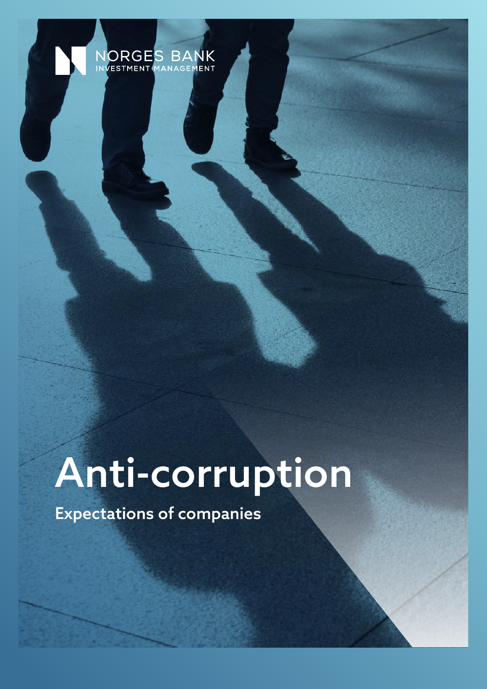

# Anti-corruption

Expectations of companies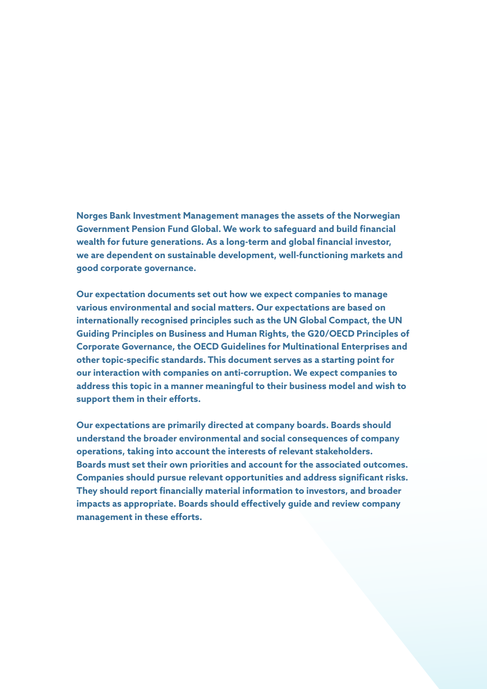**Norges Bank Investment Management manages the assets of the Norwegian Government Pension Fund Global. We work to safeguard and build financial wealth for future generations. As a long-term and global financial investor, we are dependent on sustainable development, well-functioning markets and good corporate governance.**

**Our expectation documents set out how we expect companies to manage various environmental and social matters. Our expectations are based on internationally recognised principles such as the UN Global Compact, the UN Guiding Principles on Business and Human Rights, the G20/OECD Principles of Corporate Governance, the OECD Guidelines for Multinational Enterprises and other topic-specific standards. This document serves as a starting point for our interaction with companies on anti-corruption. We expect companies to address this topic in a manner meaningful to their business model and wish to support them in their efforts.**

**Our expectations are primarily directed at company boards. Boards should understand the broader environmental and social consequences of company operations, taking into account the interests of relevant stakeholders. Boards must set their own priorities and account for the associated outcomes. Companies should pursue relevant opportunities and address significant risks. They should report financially material information to investors, and broader impacts as appropriate. Boards should effectively guide and review company management in these efforts.**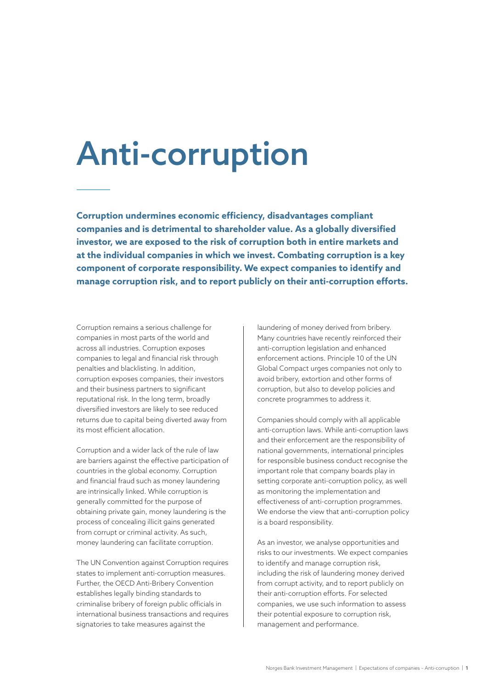# Anti-corruption

**Corruption undermines economic efficiency, disadvantages compliant companies and is detrimental to shareholder value. As a globally diversified investor, we are exposed to the risk of corruption both in entire markets and at the individual companies in which we invest. Combating corruption is a key component of corporate responsibility. We expect companies to identify and manage corruption risk, and to report publicly on their anti-corruption efforts.**

Corruption remains a serious challenge for companies in most parts of the world and across all industries. Corruption exposes companies to legal and financial risk through penalties and blacklisting. In addition, corruption exposes companies, their investors and their business partners to significant reputational risk. In the long term, broadly diversified investors are likely to see reduced returns due to capital being diverted away from its most efficient allocation.

Corruption and a wider lack of the rule of law are barriers against the effective participation of countries in the global economy. Corruption and financial fraud such as money laundering are intrinsically linked. While corruption is generally committed for the purpose of obtaining private gain, money laundering is the process of concealing illicit gains generated from corrupt or criminal activity. As such, money laundering can facilitate corruption.

The UN Convention against Corruption requires states to implement anti-corruption measures. Further, the OECD Anti-Bribery Convention establishes legally binding standards to criminalise bribery of foreign public officials in international business transactions and requires signatories to take measures against the

laundering of money derived from bribery. Many countries have recently reinforced their anti-corruption legislation and enhanced enforcement actions. Principle 10 of the UN Global Compact urges companies not only to avoid bribery, extortion and other forms of corruption, but also to develop policies and concrete programmes to address it.

Companies should comply with all applicable anti-corruption laws. While anti-corruption laws and their enforcement are the responsibility of national governments, international principles for responsible business conduct recognise the important role that company boards play in setting corporate anti-corruption policy, as well as monitoring the implementation and effectiveness of anti-corruption programmes. We endorse the view that anti-corruption policy is a board responsibility.

As an investor, we analyse opportunities and risks to our investments. We expect companies to identify and manage corruption risk, including the risk of laundering money derived from corrupt activity, and to report publicly on their anti-corruption efforts. For selected companies, we use such information to assess their potential exposure to corruption risk, management and performance.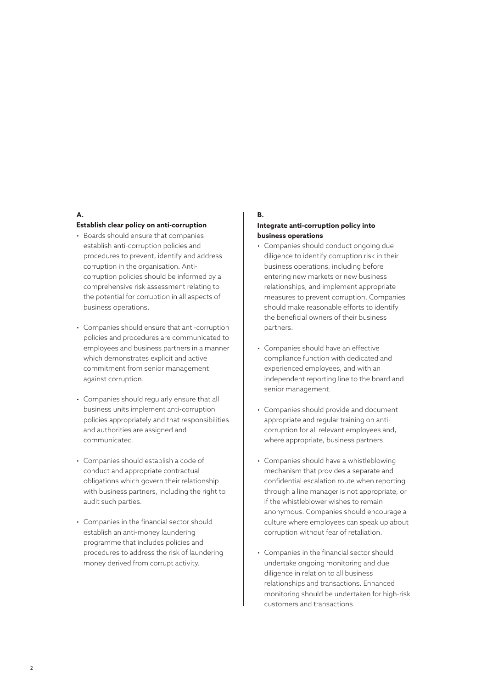### **A.**

### **Establish clear policy on anti-corruption**

- Boards should ensure that companies establish anti-corruption policies and procedures to prevent, identify and address corruption in the organisation. Anticorruption policies should be informed by a comprehensive risk assessment relating to the potential for corruption in all aspects of business operations.
- Companies should ensure that anti-corruption policies and procedures are communicated to employees and business partners in a manner which demonstrates explicit and active commitment from senior management against corruption.
- Companies should regularly ensure that all business units implement anti-corruption policies appropriately and that responsibilities and authorities are assigned and communicated.
- Companies should establish a code of conduct and appropriate contractual obligations which govern their relationship with business partners, including the right to audit such parties.
- Companies in the financial sector should establish an anti-money laundering programme that includes policies and procedures to address the risk of laundering money derived from corrupt activity.

# **B.**

# **Integrate anti-corruption policy into business operations**

- Companies should conduct ongoing due diligence to identify corruption risk in their business operations, including before entering new markets or new business relationships, and implement appropriate measures to prevent corruption. Companies should make reasonable efforts to identify the beneficial owners of their business partners.
- Companies should have an effective compliance function with dedicated and experienced employees, and with an independent reporting line to the board and senior management.
- Companies should provide and document appropriate and regular training on anticorruption for all relevant employees and, where appropriate, business partners.
- Companies should have a whistleblowing mechanism that provides a separate and confidential escalation route when reporting through a line manager is not appropriate, or if the whistleblower wishes to remain anonymous. Companies should encourage a culture where employees can speak up about corruption without fear of retaliation.
- Companies in the financial sector should undertake ongoing monitoring and due diligence in relation to all business relationships and transactions. Enhanced monitoring should be undertaken for high-risk customers and transactions.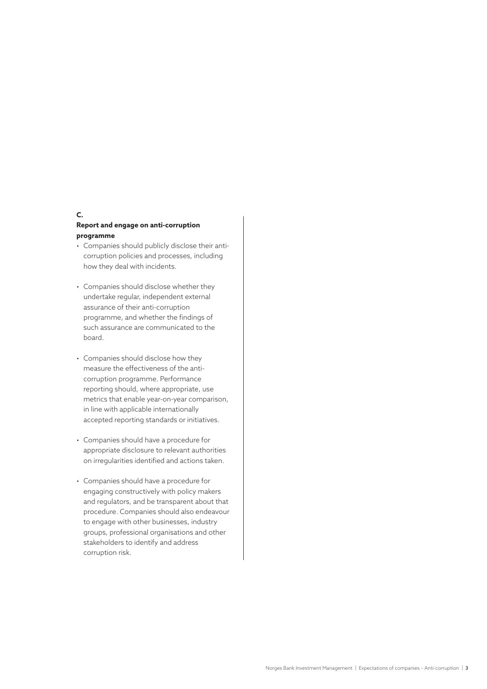## **C.**

# **Report and engage on anti-corruption programme**

- Companies should publicly disclose their anticorruption policies and processes, including how they deal with incidents.
- Companies should disclose whether they undertake regular, independent external assurance of their anti-corruption programme, and whether the findings of such assurance are communicated to the board.
- Companies should disclose how they measure the effectiveness of the anticorruption programme. Performance reporting should, where appropriate, use metrics that enable year-on-year comparison, in line with applicable internationally accepted reporting standards or initiatives.
- Companies should have a procedure for appropriate disclosure to relevant authorities on irregularities identified and actions taken.
- Companies should have a procedure for engaging constructively with policy makers and regulators, and be transparent about that procedure. Companies should also endeavour to engage with other businesses, industry groups, professional organisations and other stakeholders to identify and address corruption risk.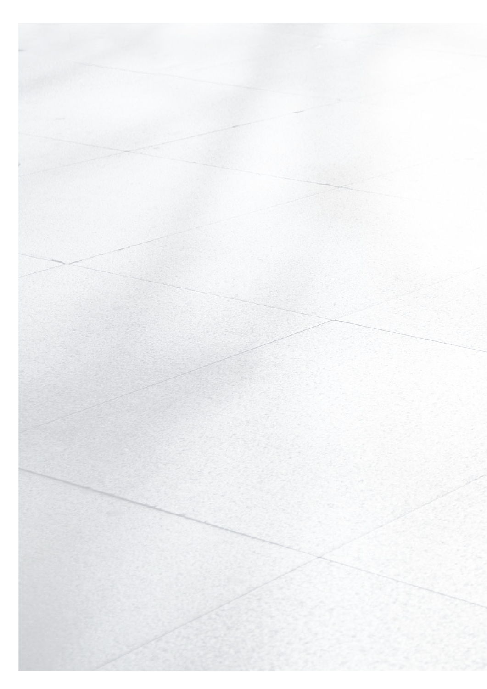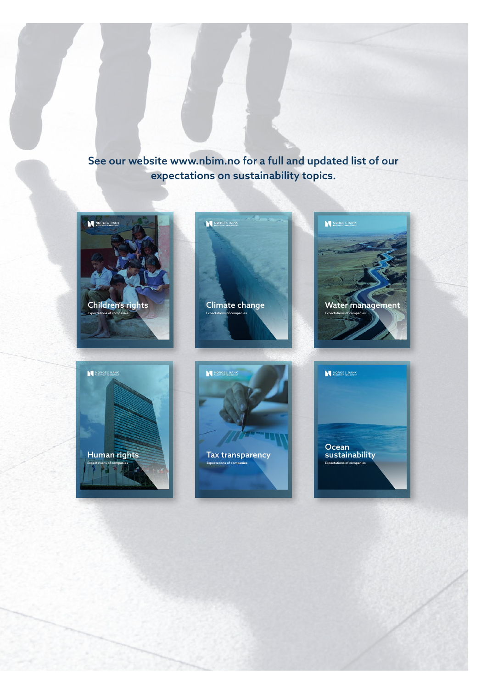See our website www.nbim.no for a full and updated list of our expectations on sustainability topics.